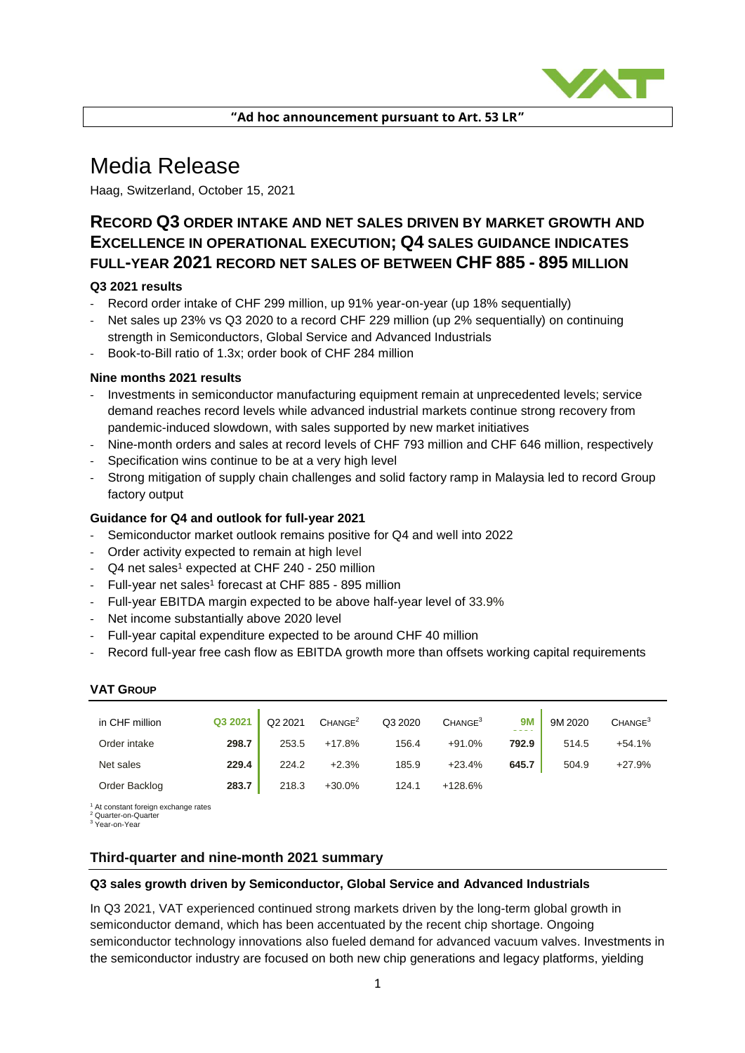

**"Ad hoc announcement pursuant to Art. 53 LR"**

# Media Release

Haag, Switzerland, October 15, 2021

# **RECORD Q3 ORDER INTAKE AND NET SALES DRIVEN BY MARKET GROWTH AND EXCELLENCE IN OPERATIONAL EXECUTION; Q4 SALES GUIDANCE INDICATES FULL-YEAR 2021 RECORD NET SALES OF BETWEEN CHF 885 - 895 MILLION**

# **Q3 2021 results**

- Record order intake of CHF 299 million, up 91% year-on-year (up 18% sequentially)
- Net sales up 23% vs Q3 2020 to a record CHF 229 million (up 2% sequentially) on continuing strength in Semiconductors, Global Service and Advanced Industrials
- Book-to-Bill ratio of 1.3x; order book of CHF 284 million

# **Nine months 2021 results**

- Investments in semiconductor manufacturing equipment remain at unprecedented levels; service demand reaches record levels while advanced industrial markets continue strong recovery from pandemic-induced slowdown, with sales supported by new market initiatives
- Nine-month orders and sales at record levels of CHF 793 million and CHF 646 million, respectively
- Specification wins continue to be at a very high level
- Strong mitigation of supply chain challenges and solid factory ramp in Malaysia led to record Group factory output

# **Guidance for Q4 and outlook for full-year 2021**

- Semiconductor market outlook remains positive for Q4 and well into 2022
- Order activity expected to remain at high level
- Q4 net sales<sup>1</sup> expected at CHF 240 250 million
- Full-year net sales<sup>1</sup> forecast at CHF 885 895 million
- Full-year EBITDA margin expected to be above half-year level of 33.9%
- Net income substantially above 2020 level
- Full-year capital expenditure expected to be around CHF 40 million
- Record full-year free cash flow as EBITDA growth more than offsets working capital requirements

#### **VAT GROUP**

| in CHF million | Q3 2021 | Q2 2021 | CHANGE <sup>2</sup> | Q3 2020 | CHANGE <sup>3</sup> | <b>9M</b> | 9M 2020 | CHANGE <sup>3</sup> |
|----------------|---------|---------|---------------------|---------|---------------------|-----------|---------|---------------------|
| Order intake   | 298.7   | 253.5   | $+17.8%$            | 156.4   | $+91.0%$            | 792.9     | 514.5   | $+54.1%$            |
| Net sales      | 229.4   | 224.2   | $+2.3%$             | 185.9   | $+23.4%$            | 645.7     | 504.9   | $+27.9%$            |
| Order Backlog  | 283.7   | 218.3   | $+30.0%$            | 124.1   | +128.6%             |           |         |                     |

<sup>1</sup> At constant foreign exchange rates<br><sup>2</sup> Quarter-on-Quarter

<sup>3</sup> Year-on-Year

# **Third-quarter and nine-month 2021 summary**

#### **Q3 sales growth driven by Semiconductor, Global Service and Advanced Industrials**

In Q3 2021, VAT experienced continued strong markets driven by the long-term global growth in semiconductor demand, which has been accentuated by the recent chip shortage. Ongoing semiconductor technology innovations also fueled demand for advanced vacuum valves. Investments in the semiconductor industry are focused on both new chip generations and legacy platforms, yielding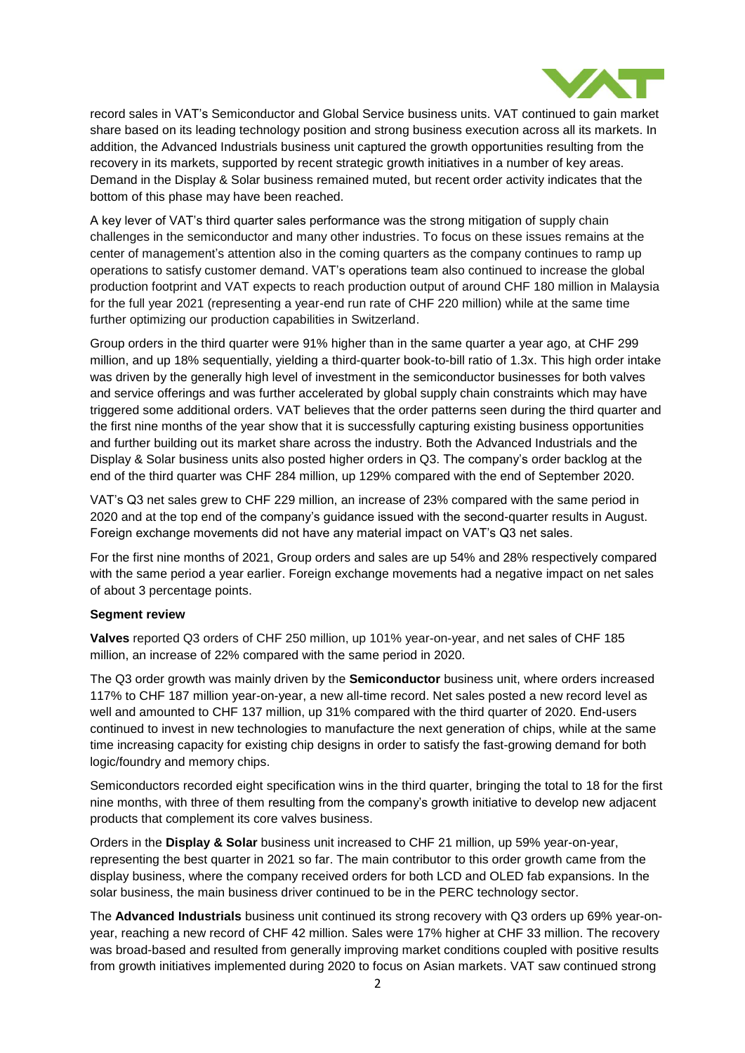

record sales in VAT's Semiconductor and Global Service business units. VAT continued to gain market share based on its leading technology position and strong business execution across all its markets. In addition, the Advanced Industrials business unit captured the growth opportunities resulting from the recovery in its markets, supported by recent strategic growth initiatives in a number of key areas. Demand in the Display & Solar business remained muted, but recent order activity indicates that the bottom of this phase may have been reached.

A key lever of VAT's third quarter sales performance was the strong mitigation of supply chain challenges in the semiconductor and many other industries. To focus on these issues remains at the center of management's attention also in the coming quarters as the company continues to ramp up operations to satisfy customer demand. VAT's operations team also continued to increase the global production footprint and VAT expects to reach production output of around CHF 180 million in Malaysia for the full year 2021 (representing a year-end run rate of CHF 220 million) while at the same time further optimizing our production capabilities in Switzerland.

Group orders in the third quarter were 91% higher than in the same quarter a year ago, at CHF 299 million, and up 18% sequentially, yielding a third-quarter book-to-bill ratio of 1.3x. This high order intake was driven by the generally high level of investment in the semiconductor businesses for both valves and service offerings and was further accelerated by global supply chain constraints which may have triggered some additional orders. VAT believes that the order patterns seen during the third quarter and the first nine months of the year show that it is successfully capturing existing business opportunities and further building out its market share across the industry. Both the Advanced Industrials and the Display & Solar business units also posted higher orders in Q3. The company's order backlog at the end of the third quarter was CHF 284 million, up 129% compared with the end of September 2020.

VAT's Q3 net sales grew to CHF 229 million, an increase of 23% compared with the same period in 2020 and at the top end of the company's guidance issued with the second-quarter results in August. Foreign exchange movements did not have any material impact on VAT's Q3 net sales.

For the first nine months of 2021, Group orders and sales are up 54% and 28% respectively compared with the same period a year earlier. Foreign exchange movements had a negative impact on net sales of about 3 percentage points.

# **Segment review**

**Valves** reported Q3 orders of CHF 250 million, up 101% year-on-year, and net sales of CHF 185 million, an increase of 22% compared with the same period in 2020.

The Q3 order growth was mainly driven by the **Semiconductor** business unit, where orders increased 117% to CHF 187 million year-on-year, a new all-time record. Net sales posted a new record level as well and amounted to CHF 137 million, up 31% compared with the third quarter of 2020. End-users continued to invest in new technologies to manufacture the next generation of chips, while at the same time increasing capacity for existing chip designs in order to satisfy the fast-growing demand for both logic/foundry and memory chips.

Semiconductors recorded eight specification wins in the third quarter, bringing the total to 18 for the first nine months, with three of them resulting from the company's growth initiative to develop new adjacent products that complement its core valves business.

Orders in the **Display & Solar** business unit increased to CHF 21 million, up 59% year-on-year, representing the best quarter in 2021 so far. The main contributor to this order growth came from the display business, where the company received orders for both LCD and OLED fab expansions. In the solar business, the main business driver continued to be in the PERC technology sector.

The **Advanced Industrials** business unit continued its strong recovery with Q3 orders up 69% year-onyear, reaching a new record of CHF 42 million. Sales were 17% higher at CHF 33 million. The recovery was broad-based and resulted from generally improving market conditions coupled with positive results from growth initiatives implemented during 2020 to focus on Asian markets. VAT saw continued strong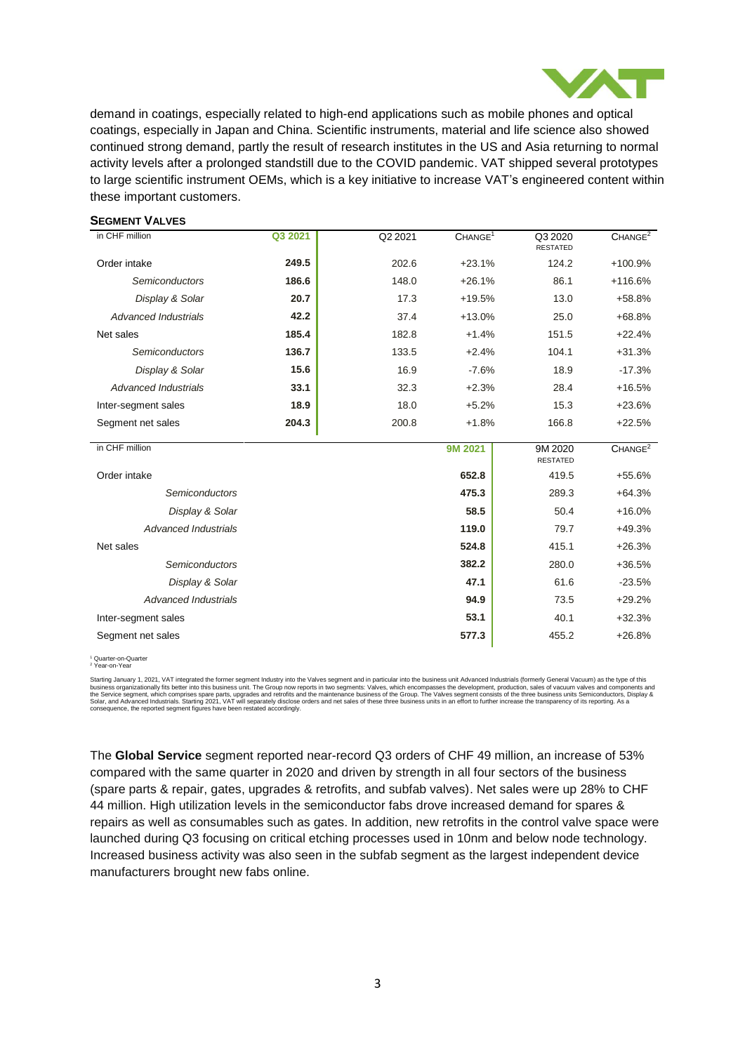

demand in coatings, especially related to high-end applications such as mobile phones and optical coatings, especially in Japan and China. Scientific instruments, material and life science also showed continued strong demand, partly the result of research institutes in the US and Asia returning to normal activity levels after a prolonged standstill due to the COVID pandemic. VAT shipped several prototypes to large scientific instrument OEMs, which is a key initiative to increase VAT's engineered content within these important customers.

| <b>SEGMENT VALVES</b>       |         |         |                     |                            |                     |
|-----------------------------|---------|---------|---------------------|----------------------------|---------------------|
| in CHF million              | Q3 2021 | Q2 2021 | CHANGE <sup>1</sup> | Q3 2020<br><b>RESTATED</b> | CHANGE <sup>2</sup> |
| Order intake                | 249.5   | 202.6   | $+23.1%$            | 124.2                      | +100.9%             |
| Semiconductors              | 186.6   | 148.0   | $+26.1%$            | 86.1                       | +116.6%             |
| Display & Solar             | 20.7    | 17.3    | $+19.5%$            | 13.0                       | +58.8%              |
| <b>Advanced Industrials</b> | 42.2    | 37.4    | $+13.0%$            | 25.0                       | $+68.8%$            |
| Net sales                   | 185.4   | 182.8   | $+1.4%$             | 151.5                      | $+22.4%$            |
| Semiconductors              | 136.7   | 133.5   | $+2.4%$             | 104.1                      | $+31.3%$            |
| Display & Solar             | 15.6    | 16.9    | $-7.6%$             | 18.9                       | $-17.3%$            |
| <b>Advanced Industrials</b> | 33.1    | 32.3    | $+2.3%$             | 28.4                       | $+16.5%$            |
| Inter-segment sales         | 18.9    | 18.0    | $+5.2%$             | 15.3                       | $+23.6%$            |
| Segment net sales           | 204.3   | 200.8   | $+1.8%$             | 166.8                      | $+22.5%$            |
| in CHF million              |         |         | 9M 2021             | 9M 2020<br><b>RESTATED</b> | CHANGE <sup>2</sup> |
| Order intake                |         |         | 652.8               | 419.5                      | $+55.6%$            |
| Semiconductors              |         |         | 475.3               | 289.3                      | $+64.3%$            |
| Display & Solar             |         |         | 58.5                | 50.4                       | $+16.0%$            |
| <b>Advanced Industrials</b> |         |         | 119.0               | 79.7                       | $+49.3%$            |
| Net sales                   |         |         | 524.8               | 415.1                      | $+26.3%$            |
| Semiconductors              |         |         | 382.2               | 280.0                      | $+36.5%$            |
| Display & Solar             |         |         | 47.1                | 61.6                       | $-23.5%$            |
| <b>Advanced Industrials</b> |         |         | 94.9                | 73.5                       | $+29.2%$            |
| Inter-segment sales         |         |         | 53.1                | 40.1                       | $+32.3%$            |
| Segment net sales           |         |         | 577.3               | 455.2                      | $+26.8%$            |
|                             |         |         |                     |                            |                     |

<sup>1</sup> Quarter-on-Quarter <sup>2</sup> Year-on-Year

Starting January 1, 2021, VAT integrated the former segment Industry into the Valves segment and in particular into the business unit Advanced Industrials (formerly General Vacuum) as the type of this business organization

The **Global Service** segment reported near-record Q3 orders of CHF 49 million, an increase of 53% compared with the same quarter in 2020 and driven by strength in all four sectors of the business (spare parts & repair, gates, upgrades & retrofits, and subfab valves). Net sales were up 28% to CHF 44 million. High utilization levels in the semiconductor fabs drove increased demand for spares & repairs as well as consumables such as gates. In addition, new retrofits in the control valve space were launched during Q3 focusing on critical etching processes used in 10nm and below node technology. Increased business activity was also seen in the subfab segment as the largest independent device manufacturers brought new fabs online.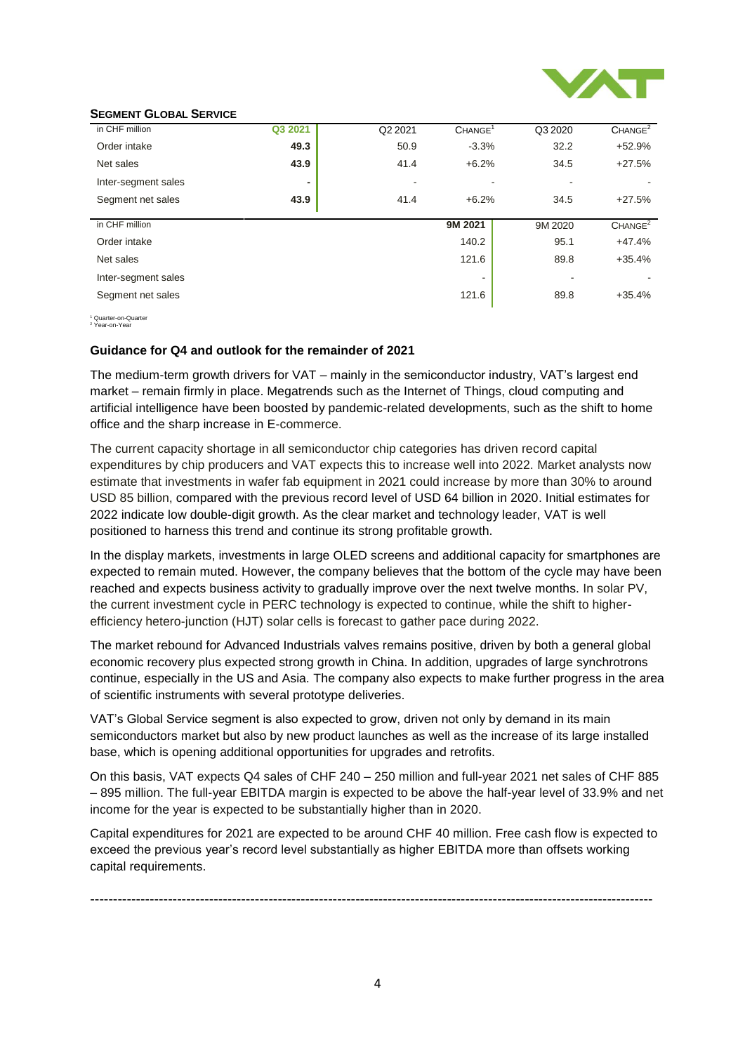

#### **SEGMENT GLOBAL SERVICE**

| in CHF million      | Q3 2021 | Q2 2021 | CHANGE <sup>1</sup> | Q3 2020 | CHANGE <sup>2</sup> |
|---------------------|---------|---------|---------------------|---------|---------------------|
|                     |         |         |                     |         |                     |
| Order intake        | 49.3    | 50.9    | $-3.3%$             | 32.2    | $+52.9%$            |
| Net sales           | 43.9    | 41.4    | $+6.2%$             | 34.5    | $+27.5%$            |
| Inter-segment sales | ٠       |         |                     |         |                     |
| Segment net sales   | 43.9    | 41.4    | $+6.2%$             | 34.5    | $+27.5%$            |
|                     |         |         |                     |         |                     |
| in CHF million      |         |         | 9M 2021             | 9M 2020 | CHANGE <sup>2</sup> |
| Order intake        |         |         | 140.2               | 95.1    | $+47.4%$            |
| Net sales           |         |         | 121.6               | 89.8    | $+35.4%$            |
| Inter-segment sales |         |         | -                   |         |                     |
| Segment net sales   |         |         | 121.6               | 89.8    | $+35.4%$            |

<sup>1</sup> Quarter-on-Quarter <sup>2</sup> Year-on-Year

#### **Guidance for Q4 and outlook for the remainder of 2021**

The medium-term growth drivers for VAT – mainly in the semiconductor industry, VAT's largest end market – remain firmly in place. Megatrends such as the Internet of Things, cloud computing and artificial intelligence have been boosted by pandemic-related developments, such as the shift to home office and the sharp increase in E-commerce.

The current capacity shortage in all semiconductor chip categories has driven record capital expenditures by chip producers and VAT expects this to increase well into 2022. Market analysts now estimate that investments in wafer fab equipment in 2021 could increase by more than 30% to around USD 85 billion, compared with the previous record level of USD 64 billion in 2020. Initial estimates for 2022 indicate low double-digit growth. As the clear market and technology leader, VAT is well positioned to harness this trend and continue its strong profitable growth.

In the display markets, investments in large OLED screens and additional capacity for smartphones are expected to remain muted. However, the company believes that the bottom of the cycle may have been reached and expects business activity to gradually improve over the next twelve months. In solar PV, the current investment cycle in PERC technology is expected to continue, while the shift to higherefficiency hetero-junction (HJT) solar cells is forecast to gather pace during 2022.

The market rebound for Advanced Industrials valves remains positive, driven by both a general global economic recovery plus expected strong growth in China. In addition, upgrades of large synchrotrons continue, especially in the US and Asia. The company also expects to make further progress in the area of scientific instruments with several prototype deliveries.

VAT's Global Service segment is also expected to grow, driven not only by demand in its main semiconductors market but also by new product launches as well as the increase of its large installed base, which is opening additional opportunities for upgrades and retrofits.

On this basis, VAT expects Q4 sales of CHF 240 – 250 million and full-year 2021 net sales of CHF 885 – 895 million. The full-year EBITDA margin is expected to be above the half-year level of 33.9% and net income for the year is expected to be substantially higher than in 2020.

Capital expenditures for 2021 are expected to be around CHF 40 million. Free cash flow is expected to exceed the previous year's record level substantially as higher EBITDA more than offsets working capital requirements.

---------------------------------------------------------------------------------------------------------------------------